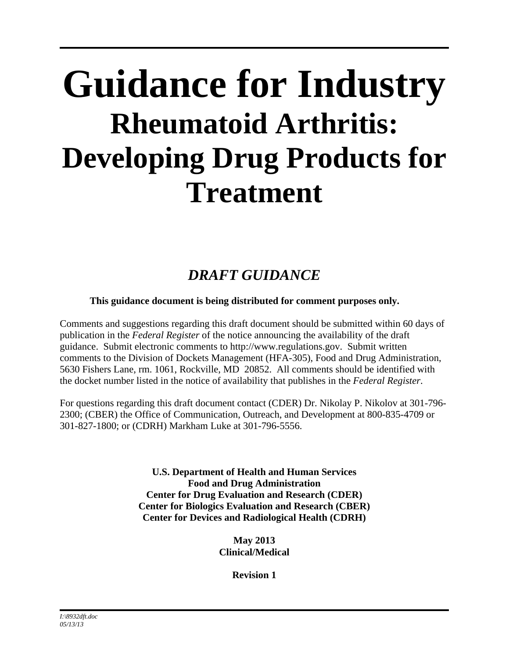# **Guidance for Industry Rheumatoid Arthritis: Developing Drug Products for Treatment**

## *DRAFT GUIDANCE*

#### **This guidance document is being distributed for comment purposes only.**

Comments and suggestions regarding this draft document should be submitted within 60 days of publication in the *Federal Register* of the notice announcing the availability of the draft guidance. Submit electronic comments to http://www.regulations.gov. Submit written comments to the Division of Dockets Management (HFA-305), Food and Drug Administration, 5630 Fishers Lane, rm. 1061, Rockville, MD 20852. All comments should be identified with the docket number listed in the notice of availability that publishes in the *Federal Register*.

For questions regarding this draft document contact (CDER) Dr. Nikolay P. Nikolov at 301-796- 2300; (CBER) the Office of Communication, Outreach, and Development at 800-835-4709 or 301-827-1800; or (CDRH) Markham Luke at 301-796-5556.

> **U.S. Department of Health and Human Services Food and Drug Administration Center for Drug Evaluation and Research (CDER) Center for Biologics Evaluation and Research (CBER) Center for Devices and Radiological Health (CDRH)**

> > **May 2013 Clinical/Medical**

> > > **Revision 1**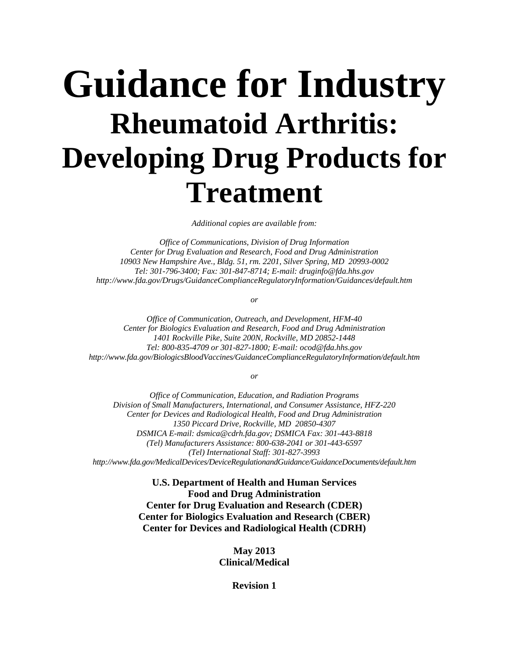# **Guidance for Industry Rheumatoid Arthritis: Developing Drug Products for Treatment**

*Additional copies are available from:* 

*Office of Communications, Division of Drug Information Center for Drug Evaluation and Research, Food and Drug Administration 10903 New Hampshire Ave., Bldg. 51, rm. 2201, Silver Spring, MD 20993-0002 Tel: 301-796-3400; Fax: 301-847-8714; E-mail: druginfo@fda.hhs.gov http://www.fda.gov/Drugs/GuidanceComplianceRegulatoryInformation/Guidances/default.htm* 

*or* 

*Office of Communication, Outreach, and Development, HFM-40 Center for Biologics Evaluation and Research, Food and Drug Administration 1401 Rockville Pike, Suite 200N, Rockville, MD 20852-1448 Tel: 800-835-4709 or 301-827-1800; E-mail: ocod@fda.hhs.gov http://www.fda.gov/BiologicsBloodVaccines/GuidanceComplianceRegulatoryInformation/default.htm* 

*or* 

*Office of Communication, Education, and Radiation Programs Division of Small Manufacturers, International, and Consumer Assistance, HFZ-220 Center for Devices and Radiological Health, Food and Drug Administration 1350 Piccard Drive, Rockville, MD 20850-4307 DSMICA E-mail: dsmica@cdrh.fda.gov; DSMICA Fax: 301-443-8818 (Tel) Manufacturers Assistance: 800-638-2041 or 301-443-6597 (Tel) International Staff: 301-827-3993 http://www.fda.gov/MedicalDevices/DeviceRegulationandGuidance/GuidanceDocuments/default.htm* 

> **U.S. Department of Health and Human Services Food and Drug Administration Center for Drug Evaluation and Research (CDER) Center for Biologics Evaluation and Research (CBER) Center for Devices and Radiological Health (CDRH)**

> > **May 2013 Clinical/Medical**

> > > **Revision 1**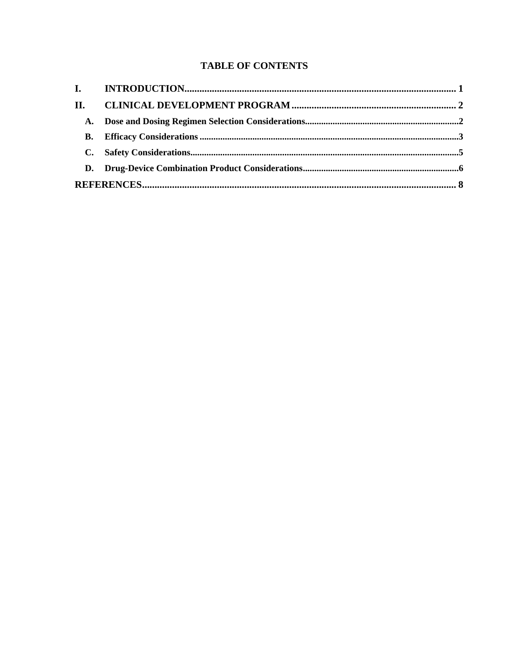#### **TABLE OF CONTENTS**

| П. |  |  |  |
|----|--|--|--|
| A. |  |  |  |
| В. |  |  |  |
|    |  |  |  |
|    |  |  |  |
|    |  |  |  |
|    |  |  |  |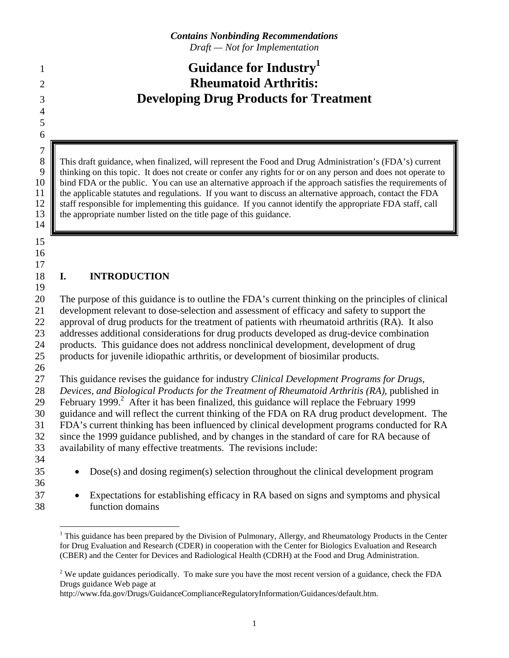### **Guidance for Industry1** <sup>1</sup> 2 **Rheumatoid Arthritis:**  3 **Developing Drug Products for Treatment**

5 6  $\begin{array}{c} 7 \\ 8 \end{array}$ 

4

8 This draft guidance, when finalized, will represent the Food and Drug Administration's (FDA's) current<br>9 thinking on this topic. It does not create or confer any rights for or on any person and does not operate to 9 thinking on this topic. It does not create or confer any rights for or on any person and does not operate to 10 bind FDA or the public. You can use an alternative approach if the approach satisfies the requirements of 11 the applicable statutes and regulations. If you want to discuss an alternative approach, contact the FDA 12 staff responsible for implementing this guidance. If you cannot identify the appropriate FDA staff, call 13 **the appropriate number listed on the title page of this guidance.** 

15

14

16 17

#### 18 **I. INTRODUCTION**

19 20 The purpose of this guidance is to outline the FDA's current thinking on the principles of clinical 21 development relevant to dose-selection and assessment of efficacy and safety to support the 22 approval of drug products for the treatment of patients with rheumatoid arthritis (RA). It also 23 addresses additional considerations for drug products developed as drug-device combination 24 products. This guidance does not address nonclinical development, development of drug 25 products for juvenile idiopathic arthritis, or development of biosimilar products.

26

27 This guidance revises the guidance for industry *Clinical Development Programs for Drugs,*  28 *Devices, and Biological Products for the Treatment of Rheumatoid Arthritis (RA)*, published in 29 February 1999.<sup>2</sup> After it has been finalized, this guidance will replace the February 1999 30 guidance and will reflect the current thinking of the FDA on RA drug product development. The 31 FDA's current thinking has been influenced by clinical development programs conducted for RA 32 since the 1999 guidance published, and by changes in the standard of care for RA because of 33 availability of many effective treatments. The revisions include: 34

- 
- 35 Dose(s) and dosing regimen(s) selection throughout the clinical development program
- 36
- 37 Expectations for establishing efficacy in RA based on signs and symptoms and physical
- 38 function domains

 $\overline{a}$ <sup>1</sup> This guidance has been prepared by the Division of Pulmonary, Allergy, and Rheumatology Products in the Center for Drug Evaluation and Research (CDER) in cooperation with the Center for Biologics Evaluation and Research (CBER) and the Center for Devices and Radiological Health (CDRH) at the Food and Drug Administration.

<sup>&</sup>lt;sup>2</sup> We update guidances periodically. To make sure you have the most recent version of a guidance, check the FDA Drugs guidance Web page at

http://www.fda.gov/Drugs/GuidanceComplianceRegulatoryInformation/Guidances/default.htm.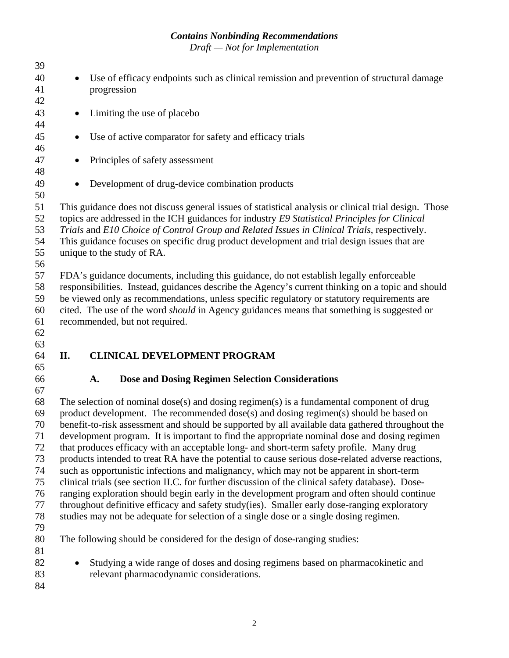| 39 |                                                                                                       |
|----|-------------------------------------------------------------------------------------------------------|
| 40 | Use of efficacy endpoints such as clinical remission and prevention of structural damage              |
| 41 | progression                                                                                           |
| 42 |                                                                                                       |
| 43 | Limiting the use of placebo<br>$\bullet$                                                              |
| 44 |                                                                                                       |
| 45 | Use of active comparator for safety and efficacy trials<br>$\bullet$                                  |
| 46 |                                                                                                       |
| 47 |                                                                                                       |
|    | Principles of safety assessment<br>$\bullet$                                                          |
| 48 |                                                                                                       |
| 49 | Development of drug-device combination products<br>$\bullet$                                          |
| 50 |                                                                                                       |
| 51 | This guidance does not discuss general issues of statistical analysis or clinical trial design. Those |
| 52 | topics are addressed in the ICH guidances for industry E9 Statistical Principles for Clinical         |
| 53 | Trials and E10 Choice of Control Group and Related Issues in Clinical Trials, respectively.           |
| 54 | This guidance focuses on specific drug product development and trial design issues that are           |
| 55 | unique to the study of RA.                                                                            |
| 56 |                                                                                                       |
| 57 | FDA's guidance documents, including this guidance, do not establish legally enforceable               |
| 58 | responsibilities. Instead, guidances describe the Agency's current thinking on a topic and should     |
| 59 | be viewed only as recommendations, unless specific regulatory or statutory requirements are           |
| 60 | cited. The use of the word <i>should</i> in Agency guidances means that something is suggested or     |
| 61 | recommended, but not required.                                                                        |
|    |                                                                                                       |
| 62 |                                                                                                       |
| 63 |                                                                                                       |
| 64 | <b>CLINICAL DEVELOPMENT PROGRAM</b><br>П.                                                             |
| 65 |                                                                                                       |
| 66 | <b>Dose and Dosing Regimen Selection Considerations</b><br>A.                                         |
| 67 |                                                                                                       |
| 68 | The selection of nominal dose(s) and dosing regimen(s) is a fundamental component of drug             |
| 69 | product development. The recommended dose(s) and dosing regimen(s) should be based on                 |
| 70 | benefit-to-risk assessment and should be supported by all available data gathered throughout the      |
| 71 | development program. It is important to find the appropriate nominal dose and dosing regimen          |
| 72 | that produces efficacy with an acceptable long- and short-term safety profile. Many drug              |
| 73 | products intended to treat RA have the potential to cause serious dose-related adverse reactions,     |
| 74 | such as opportunistic infections and malignancy, which may not be apparent in short-term              |
| 75 | clinical trials (see section II.C. for further discussion of the clinical safety database). Dose-     |
| 76 | ranging exploration should begin early in the development program and often should continue           |
| 77 | throughout definitive efficacy and safety study(ies). Smaller early dose-ranging exploratory          |
| 78 | studies may not be adequate for selection of a single dose or a single dosing regimen.                |
| 79 |                                                                                                       |
| 80 | The following should be considered for the design of dose-ranging studies:                            |
| 81 |                                                                                                       |
| 82 | Studying a wide range of doses and dosing regimens based on pharmacokinetic and                       |
| 83 | relevant pharmacodynamic considerations.                                                              |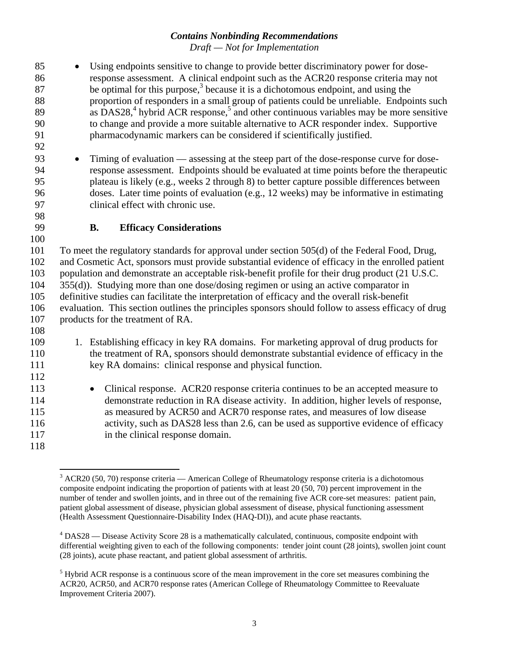- 85 Using endpoints sensitive to change to provide better discriminatory power for dose-86 response assessment. A clinical endpoint such as the ACR20 response criteria may not  $\frac{1}{87}$  be optimal for this purpose,<sup>3</sup> because it is a dichotomous endpoint, and using the 88 proportion of responders in a small group of patients could be unreliable. Endpoints such  $89$  as DAS28,<sup>4</sup> hybrid ACR response,<sup>5</sup> and other continuous variables may be more sensitive 90 to change and provide a more suitable alternative to ACR responder index. Supportive 91 pharmacodynamic markers can be considered if scientifically justified.
- 93 Timing of evaluation assessing at the steep part of the dose-response curve for dose-94 response assessment. Endpoints should be evaluated at time points before the therapeutic 95 plateau is likely (e.g., weeks 2 through 8) to better capture possible differences between 96 doses. Later time points of evaluation (e.g., 12 weeks) may be informative in estimating 97 clinical effect with chronic use.
- 98

100

108

112

92

#### 99 **B. Efficacy Considerations**

101 To meet the regulatory standards for approval under section 505(d) of the Federal Food, Drug, 102 and Cosmetic Act, sponsors must provide substantial evidence of efficacy in the enrolled patient 103 population and demonstrate an acceptable risk-benefit profile for their drug product (21 U.S.C. 104 355(d)). Studying more than one dose/dosing regimen or using an active comparator in 105 definitive studies can facilitate the interpretation of efficacy and the overall risk-benefit 106 evaluation. This section outlines the principles sponsors should follow to assess efficacy of drug 107 products for the treatment of RA.

- 109 1. Establishing efficacy in key RA domains. For marketing approval of drug products for 110 the treatment of RA, sponsors should demonstrate substantial evidence of efficacy in the 111 key RA domains: clinical response and physical function.
- 113 Clinical response. ACR20 response criteria continues to be an accepted measure to 114 demonstrate reduction in RA disease activity. In addition, higher levels of response, 115 as measured by ACR50 and ACR70 response rates, and measures of low disease 116 activity, such as DAS28 less than 2.6, can be used as supportive evidence of efficacy 117 in the clinical response domain.

<sup>118</sup> 

<sup>&</sup>lt;sup>3</sup> ACR20 (50, 70) response criteria — American College of Rheumatology response criteria is a dichotomous composite endpoint indicating the proportion of patients with at least 20 (50, 70) percent improvement in the number of tender and swollen joints, and in three out of the remaining five ACR core-set measures: patient pain, patient global assessment of disease, physician global assessment of disease, physical functioning assessment (Health Assessment Questionnaire-Disability Index (HAQ-DI)), and acute phase reactants.

 $4$  DAS28 — Disease Activity Score 28 is a mathematically calculated, continuous, composite endpoint with differential weighting given to each of the following components: tender joint count (28 joints), swollen joint count (28 joints), acute phase reactant, and patient global assessment of arthritis.

 $<sup>5</sup>$  Hybrid ACR response is a continuous score of the mean improvement in the core set measures combining the</sup> ACR20, ACR50, and ACR70 response rates (American College of Rheumatology Committee to Reevaluate Improvement Criteria 2007).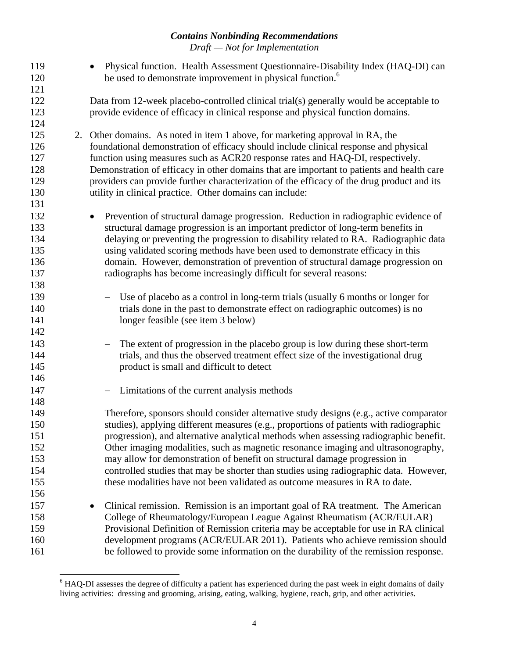| 119 | Physical function. Health Assessment Questionnaire-Disability Index (HAQ-DI) can           |
|-----|--------------------------------------------------------------------------------------------|
| 120 | be used to demonstrate improvement in physical function. <sup>6</sup>                      |
| 121 |                                                                                            |
| 122 | Data from 12-week placebo-controlled clinical trial(s) generally would be acceptable to    |
| 123 | provide evidence of efficacy in clinical response and physical function domains.           |
| 124 |                                                                                            |
| 125 | 2. Other domains. As noted in item 1 above, for marketing approval in RA, the              |
| 126 | foundational demonstration of efficacy should include clinical response and physical       |
| 127 | function using measures such as ACR20 response rates and HAQ-DI, respectively.             |
| 128 | Demonstration of efficacy in other domains that are important to patients and health care  |
| 129 | providers can provide further characterization of the efficacy of the drug product and its |
| 130 | utility in clinical practice. Other domains can include:                                   |
| 131 |                                                                                            |
| 132 | Prevention of structural damage progression. Reduction in radiographic evidence of         |
| 133 | structural damage progression is an important predictor of long-term benefits in           |
| 134 | delaying or preventing the progression to disability related to RA. Radiographic data      |
| 135 | using validated scoring methods have been used to demonstrate efficacy in this             |
| 136 | domain. However, demonstration of prevention of structural damage progression on           |
| 137 | radiographs has become increasingly difficult for several reasons:                         |
| 138 |                                                                                            |
| 139 | Use of placebo as a control in long-term trials (usually 6 months or longer for            |
| 140 | trials done in the past to demonstrate effect on radiographic outcomes) is no              |
| 141 | longer feasible (see item 3 below)                                                         |
| 142 |                                                                                            |
| 143 | The extent of progression in the placebo group is low during these short-term              |
| 144 | trials, and thus the observed treatment effect size of the investigational drug            |
| 145 | product is small and difficult to detect                                                   |
| 146 |                                                                                            |
| 147 | Limitations of the current analysis methods                                                |
| 148 |                                                                                            |
| 149 | Therefore, sponsors should consider alternative study designs (e.g., active comparator     |
| 150 | studies), applying different measures (e.g., proportions of patients with radiographic     |
| 151 | progression), and alternative analytical methods when assessing radiographic benefit.      |
| 152 | Other imaging modalities, such as magnetic resonance imaging and ultrasonography,          |
| 153 | may allow for demonstration of benefit on structural damage progression in                 |
| 154 | controlled studies that may be shorter than studies using radiographic data. However,      |
| 155 | these modalities have not been validated as outcome measures in RA to date.                |
| 156 |                                                                                            |
| 157 | Clinical remission. Remission is an important goal of RA treatment. The American           |
| 158 | College of Rheumatology/European League Against Rheumatism (ACR/EULAR)                     |
| 159 | Provisional Definition of Remission criteria may be acceptable for use in RA clinical      |
| 160 | development programs (ACR/EULAR 2011). Patients who achieve remission should               |
| 161 | be followed to provide some information on the durability of the remission response.       |

<sup>&</sup>lt;sup>6</sup> HAQ-DI assesses the degree of difficulty a patient has experienced during the past week in eight domains of daily living activities: dressing and grooming, arising, eating, walking, hygiene, reach, grip, and other activities.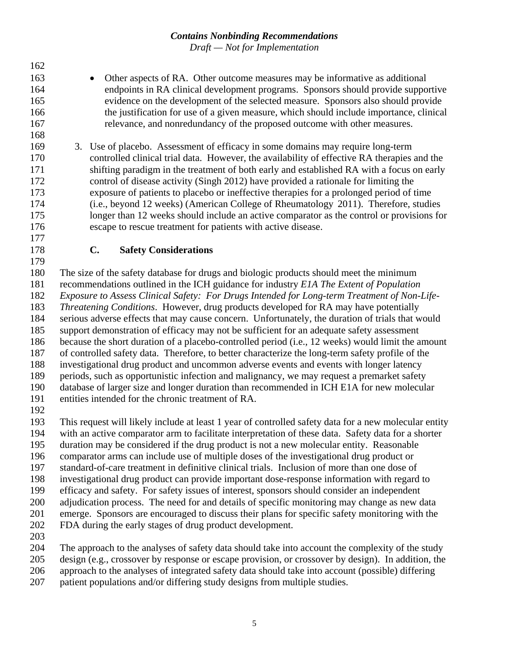- 163 **•** Other aspects of RA. Other outcome measures may be informative as additional 164 endpoints in RA clinical development programs. Sponsors should provide supportive 165 evidence on the development of the selected measure. Sponsors also should provide 166 the justification for use of a given measure, which should include importance, clinical 167 relevance, and nonredundancy of the proposed outcome with other measures.
- 169 3. Use of placebo. Assessment of efficacy in some domains may require long-term 170 controlled clinical trial data. However, the availability of effective RA therapies and the 171 shifting paradigm in the treatment of both early and established RA with a focus on early 172 control of disease activity (Singh 2012) have provided a rationale for limiting the 173 exposure of patients to placebo or ineffective therapies for a prolonged period of time 174 (i.e., beyond 12 weeks) (American College of Rheumatology 2011). Therefore, studies 175 longer than 12 weeks should include an active comparator as the control or provisions for 176 escape to rescue treatment for patients with active disease.
- 177

162

168

#### 178 **C. Safety Considerations**

179

180 The size of the safety database for drugs and biologic products should meet the minimum 181 recommendations outlined in the ICH guidance for industry *E1A The Extent of Population* 

182 *Exposure to Assess Clinical Safety: For Drugs Intended for Long-term Treatment of Non-Life-*

183 *Threatening Conditions*. However, drug products developed for RA may have potentially

184 serious adverse effects that may cause concern. Unfortunately, the duration of trials that would

185 support demonstration of efficacy may not be sufficient for an adequate safety assessment

186 because the short duration of a placebo-controlled period (i.e., 12 weeks) would limit the amount

187 of controlled safety data. Therefore, to better characterize the long-term safety profile of the

188 investigational drug product and uncommon adverse events and events with longer latency 189 periods, such as opportunistic infection and malignancy, we may request a premarket safety

190 database of larger size and longer duration than recommended in ICH E1A for new molecular

191 entities intended for the chronic treatment of RA.

192

193 This request will likely include at least 1 year of controlled safety data for a new molecular entity 194 with an active comparator arm to facilitate interpretation of these data. Safety data for a shorter 195 duration may be considered if the drug product is not a new molecular entity. Reasonable 196 comparator arms can include use of multiple doses of the investigational drug product or 197 standard-of-care treatment in definitive clinical trials. Inclusion of more than one dose of 198 investigational drug product can provide important dose-response information with regard to 199 efficacy and safety. For safety issues of interest, sponsors should consider an independent 200 adjudication process. The need for and details of specific monitoring may change as new data 201 emerge. Sponsors are encouraged to discuss their plans for specific safety monitoring with the

- 202 FDA during the early stages of drug product development.
- 203

204 The approach to the analyses of safety data should take into account the complexity of the study

205 design (e.g., crossover by response or escape provision, or crossover by design). In addition, the

- 206 approach to the analyses of integrated safety data should take into account (possible) differing
- 207 patient populations and/or differing study designs from multiple studies.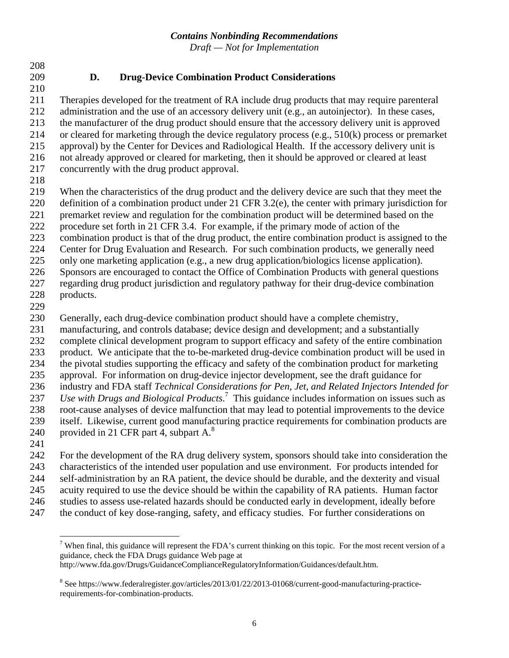208

#### 209 **D. Drug-Device Combination Product Considerations**

210 211 Therapies developed for the treatment of RA include drug products that may require parenteral 212 administration and the use of an accessory delivery unit (e.g., an autoinjector). In these cases, 213 the manufacturer of the drug product should ensure that the accessory delivery unit is approved 214 or cleared for marketing through the device regulatory process (e.g., 510(k) process or premarket 215 approval) by the Center for Devices and Radiological Health. If the accessory delivery unit is 216 not already approved or cleared for marketing, then it should be approved or cleared at least 217 concurrently with the drug product approval.

218

219 When the characteristics of the drug product and the delivery device are such that they meet the

220 definition of a combination product under 21 CFR 3.2(e), the center with primary jurisdiction for 221 premarket review and regulation for the combination product will be determined based on the

222 procedure set forth in 21 CFR 3.4. For example, if the primary mode of action of the

223 combination product is that of the drug product, the entire combination product is assigned to the

224 Center for Drug Evaluation and Research. For such combination products, we generally need

225 only one marketing application (e.g., a new drug application/biologics license application).

226 Sponsors are encouraged to contact the Office of Combination Products with general questions

227 regarding drug product jurisdiction and regulatory pathway for their drug-device combination

- 228 products.
- 229

230 Generally, each drug-device combination product should have a complete chemistry,

231 manufacturing, and controls database; device design and development; and a substantially

232 complete clinical development program to support efficacy and safety of the entire combination

233 product. We anticipate that the to-be-marketed drug-device combination product will be used in

234 the pivotal studies supporting the efficacy and safety of the combination product for marketing

235 approval. For information on drug-device injector development, see the draft guidance for 236 industry and FDA staff *Technical Considerations for Pen, Jet, and Related Injectors Intended for* 

237 *Use with Drugs and Biological Products*.<sup>7</sup> This guidance includes information on issues such as

238 root-cause analyses of device malfunction that may lead to potential improvements to the device

239 itself. Likewise, current good manufacturing practice requirements for combination products are 240 provided in 21 CFR part 4, subpart  $A^8$ .

241

242 For the development of the RA drug delivery system, sponsors should take into consideration the 243 characteristics of the intended user population and use environment. For products intended for

244 self-administration by an RA patient, the device should be durable, and the dexterity and visual<br>245 acuity required to use the device should be within the capability of RA patients. Human factor

245 acuity required to use the device should be within the capability of RA patients. Human factor

246 studies to assess use-related hazards should be conducted early in development, ideally before

247 the conduct of key dose-ranging, safety, and efficacy studies. For further considerations on

http://www.fda.gov/Drugs/GuidanceComplianceRegulatoryInformation/Guidances/default.htm.

 $\overline{a}$ <sup>7</sup> When final, this guidance will represent the FDA's current thinking on this topic. For the most recent version of a guidance, check the FDA Drugs guidance Web page at

<sup>&</sup>lt;sup>8</sup> See https://www.federalregister.gov/articles/2013/01/22/2013-01068/current-good-manufacturing-practicerequirements-for-combination-products.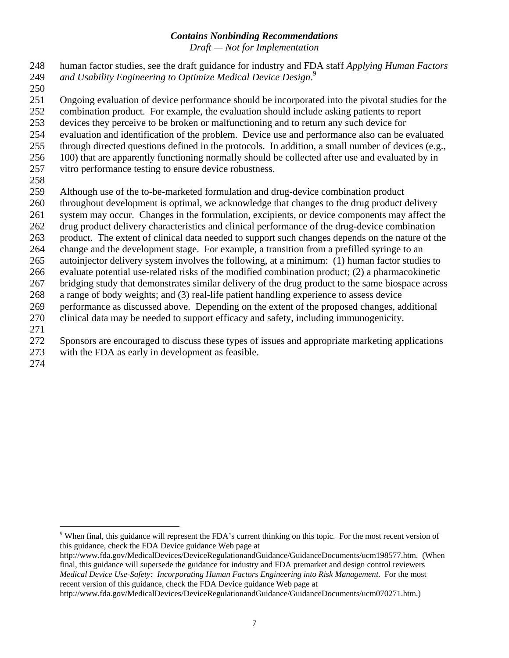- 248 human factor studies, see the draft guidance for industry and FDA staff *Applying Human Factors and Usability Engineering to Optimize Medical Device Design*. <sup>9</sup> 249
- 250
- 251 Ongoing evaluation of device performance should be incorporated into the pivotal studies for the
- 252 combination product. For example, the evaluation should include asking patients to report
- 253 devices they perceive to be broken or malfunctioning and to return any such device for
- 254 evaluation and identification of the problem. Device use and performance also can be evaluated
- 255 through directed questions defined in the protocols. In addition, a small number of devices (e.g.,
- 256 100) that are apparently functioning normally should be collected after use and evaluated by in
- 257 vitro performance testing to ensure device robustness.
- 258
- 259 Although use of the to-be-marketed formulation and drug-device combination product
- 260 throughout development is optimal, we acknowledge that changes to the drug product delivery
- 261 system may occur. Changes in the formulation, excipients, or device components may affect the
- 262 drug product delivery characteristics and clinical performance of the drug-device combination
- 263 product. The extent of clinical data needed to support such changes depends on the nature of the
- 264 change and the development stage. For example, a transition from a prefilled syringe to an
- 265 autoinjector delivery system involves the following, at a minimum: (1) human factor studies to
- 266 evaluate potential use-related risks of the modified combination product; (2) a pharmacokinetic
- 267 bridging study that demonstrates similar delivery of the drug product to the same biospace across
- 268 a range of body weights; and (3) real-life patient handling experience to assess device
- 269 performance as discussed above. Depending on the extent of the proposed changes, additional 270 clinical data may be needed to support efficacy and safety, including immunogenicity.
- 271
- 272 Sponsors are encouraged to discuss these types of issues and appropriate marketing applications
- 273 with the FDA as early in development as feasible.
- 274

<u>.</u>

 $9$  When final, this guidance will represent the FDA's current thinking on this topic. For the most recent version of this guidance, check the FDA Device guidance Web page at

http://www.fda.gov/MedicalDevices/DeviceRegulationandGuidance/GuidanceDocuments/ucm198577.htm. (When final, this guidance will supersede the guidance for industry and FDA premarket and design control reviewers *Medical Device Use-Safety: Incorporating Human Factors Engineering into Risk Management*. For the most recent version of this guidance, check the FDA Device guidance Web page at

http://www.fda.gov/MedicalDevices/DeviceRegulationandGuidance/GuidanceDocuments/ucm070271.htm.)